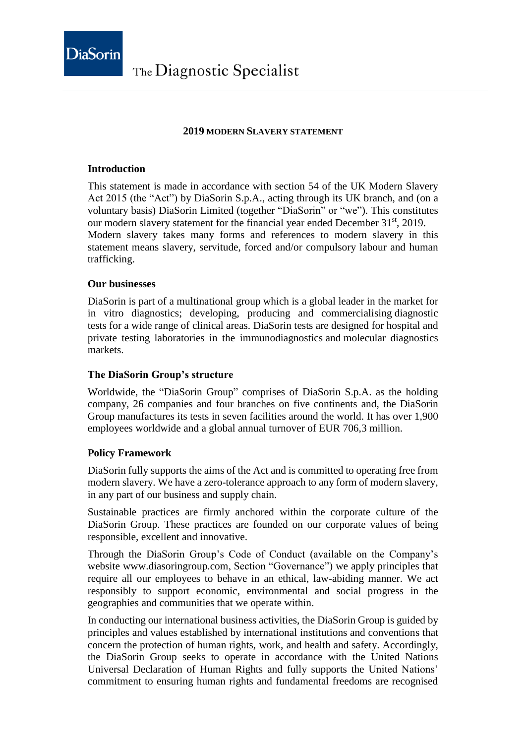

## **2019 MODERN SLAVERY STATEMENT**

### **Introduction**

This statement is made in accordance with section 54 of the UK Modern Slavery Act 2015 (the "Act") by DiaSorin S.p.A., acting through its UK branch, and (on a voluntary basis) DiaSorin Limited (together "DiaSorin" or "we"). This constitutes our modern slavery statement for the financial year ended December 31<sup>st</sup>, 2019. Modern slavery takes many forms and references to modern slavery in this statement means slavery, servitude, forced and/or compulsory labour and human trafficking.

#### **Our businesses**

DiaSorin is part of a multinational group which is a global leader in the market for in vitro diagnostics; developing, producing and commercialising diagnostic tests for a wide range of clinical areas. DiaSorin tests are designed for hospital and private testing laboratories in the immunodiagnostics and molecular diagnostics markets.

### **The DiaSorin Group's structure**

Worldwide, the "DiaSorin Group" comprises of DiaSorin S.p.A. as the holding company, 26 companies and four branches on five continents and, the DiaSorin Group manufactures its tests in seven facilities around the world. It has over 1,900 employees worldwide and a global annual turnover of EUR 706,3 million.

### **Policy Framework**

DiaSorin fully supports the aims of the Act and is committed to operating free from modern slavery. We have a zero-tolerance approach to any form of modern slavery, in any part of our business and supply chain.

Sustainable practices are firmly anchored within the corporate culture of the DiaSorin Group. These practices are founded on our corporate values of being responsible, excellent and innovative.

Through the DiaSorin Group's Code of Conduct (available on the Company's website www.diasoringroup.com, Section "Governance") we apply principles that require all our employees to behave in an ethical, law-abiding manner. We act responsibly to support economic, environmental and social progress in the geographies and communities that we operate within.

In conducting our international business activities, the DiaSorin Group is guided by principles and values established by international institutions and conventions that concern the protection of human rights, work, and health and safety. Accordingly, the DiaSorin Group seeks to operate in accordance with the United Nations Universal Declaration of Human Rights and fully supports the United Nations' commitment to ensuring human rights and fundamental freedoms are recognised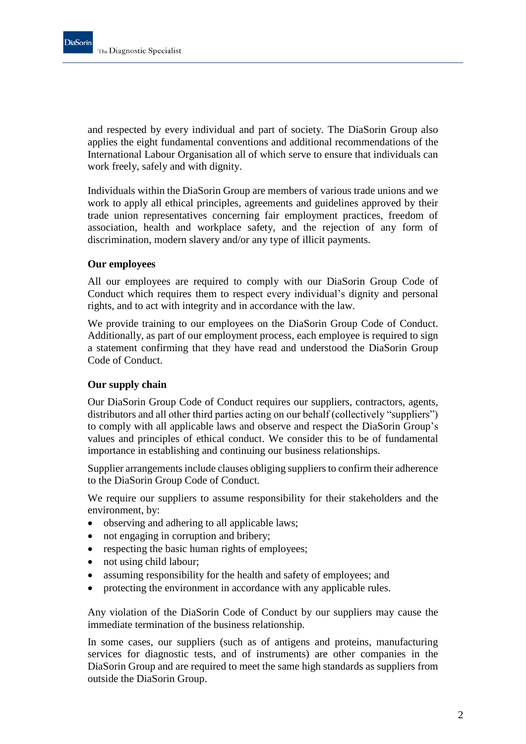and respected by every individual and part of society. The DiaSorin Group also applies the eight fundamental conventions and additional recommendations of the International Labour Organisation all of which serve to ensure that individuals can work freely, safely and with dignity.

Individuals within the DiaSorin Group are members of various trade unions and we work to apply all ethical principles, agreements and guidelines approved by their trade union representatives concerning fair employment practices, freedom of association, health and workplace safety, and the rejection of any form of discrimination, modern slavery and/or any type of illicit payments.

### **Our employees**

All our employees are required to comply with our DiaSorin Group Code of Conduct which requires them to respect every individual's dignity and personal rights, and to act with integrity and in accordance with the law.

We provide training to our employees on the DiaSorin Group Code of Conduct. Additionally, as part of our employment process, each employee is required to sign a statement confirming that they have read and understood the DiaSorin Group Code of Conduct.

# **Our supply chain**

Our DiaSorin Group Code of Conduct requires our suppliers, contractors, agents, distributors and all other third parties acting on our behalf (collectively "suppliers") to comply with all applicable laws and observe and respect the DiaSorin Group's values and principles of ethical conduct. We consider this to be of fundamental importance in establishing and continuing our business relationships.

Supplier arrangements include clauses obliging suppliers to confirm their adherence to the DiaSorin Group Code of Conduct.

We require our suppliers to assume responsibility for their stakeholders and the environment, by:

- observing and adhering to all applicable laws;
- not engaging in corruption and bribery;
- respecting the basic human rights of employees;
- not using child labour;
- assuming responsibility for the health and safety of employees; and
- protecting the environment in accordance with any applicable rules.

Any violation of the DiaSorin Code of Conduct by our suppliers may cause the immediate termination of the business relationship.

In some cases, our suppliers (such as of antigens and proteins, manufacturing services for diagnostic tests, and of instruments) are other companies in the DiaSorin Group and are required to meet the same high standards as suppliers from outside the DiaSorin Group.